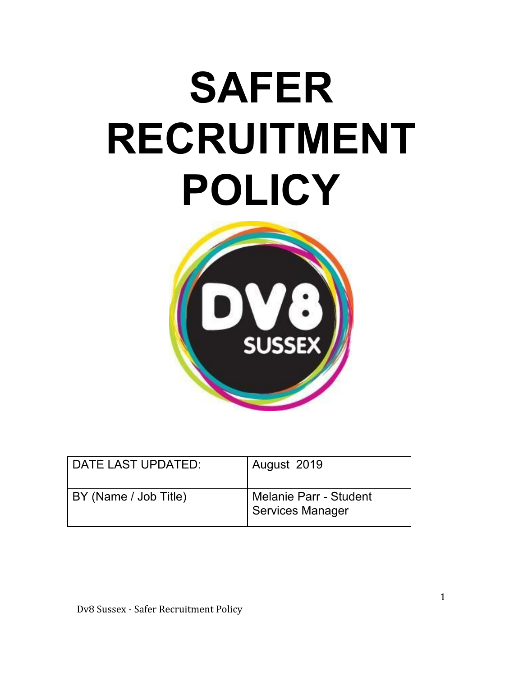# **SAFER RECRUITMENT POLICY**



| DATE LAST UPDATED:    | August 2019                                       |
|-----------------------|---------------------------------------------------|
| BY (Name / Job Title) | <b>Melanie Parr - Student</b><br>Services Manager |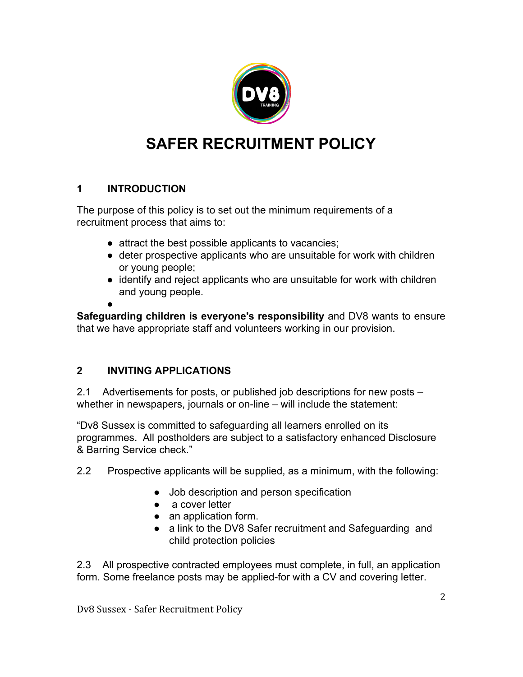

# **SAFER RECRUITMENT POLICY**

# **1 INTRODUCTION**

The purpose of this policy is to set out the minimum requirements of a recruitment process that aims to:

- attract the best possible applicants to vacancies;
- deter prospective applicants who are unsuitable for work with children or young people;
- identify and reject applicants who are unsuitable for work with children and young people.

●

**Safeguarding children is everyone's responsibility** and DV8 wants to ensure that we have appropriate staff and volunteers working in our provision.

# **2 INVITING APPLICATIONS**

2.1 Advertisements for posts, or published job descriptions for new posts – whether in newspapers, journals or on-line – will include the statement:

"Dv8 Sussex is committed to safeguarding all learners enrolled on its programmes. All postholders are subject to a satisfactory enhanced Disclosure & Barring Service check."

- 2.2 Prospective applicants will be supplied, as a minimum, with the following:
	- Job description and person specification
	- a cover letter
	- an application form.
	- a link to the DV8 Safer recruitment and Safeguarding and child protection policies

2.3 All prospective contracted employees must complete, in full, an application form. Some freelance posts may be applied-for with a CV and covering letter.

Dv8 Sussex - Safer Recruitment Policy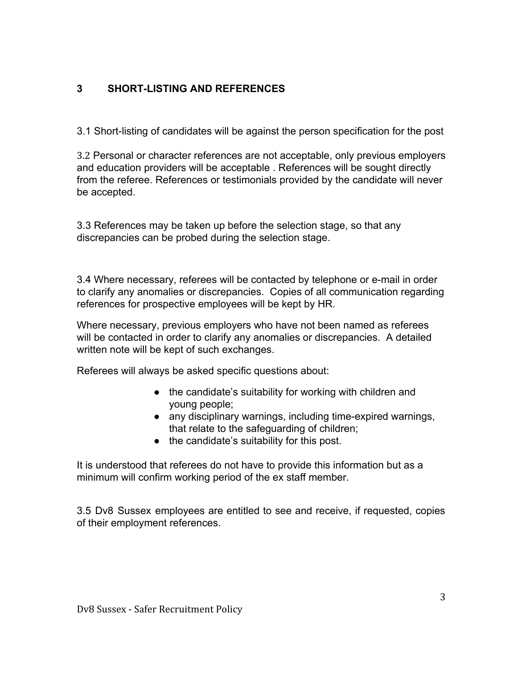# **3 SHORT-LISTING AND REFERENCES**

3.1 Short-listing of candidates will be against the person specification for the post

3.2 Personal or character references are not acceptable, only previous employers and education providers will be acceptable . References will be sought directly from the referee. References or testimonials provided by the candidate will never be accepted.

3.3 References may be taken up before the selection stage, so that any discrepancies can be probed during the selection stage.

3.4 Where necessary, referees will be contacted by telephone or e-mail in order to clarify any anomalies or discrepancies. Copies of all communication regarding references for prospective employees will be kept by HR.

Where necessary, previous employers who have not been named as referees will be contacted in order to clarify any anomalies or discrepancies. A detailed written note will be kept of such exchanges.

Referees will always be asked specific questions about:

- the candidate's suitability for working with children and young people;
- any disciplinary warnings, including time-expired warnings, that relate to the safeguarding of children;
- the candidate's suitability for this post.

It is understood that referees do not have to provide this information but as a minimum will confirm working period of the ex staff member.

3.5 Dv8 Sussex employees are entitled to see and receive, if requested, copies of their employment references.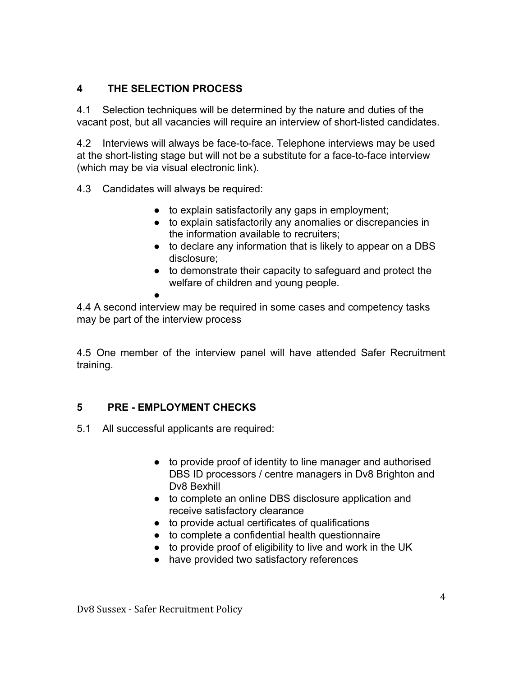#### **4 THE SELECTION PROCESS**

4.1 Selection techniques will be determined by the nature and duties of the vacant post, but all vacancies will require an interview of short-listed candidates.

4.2 Interviews will always be face-to-face. Telephone interviews may be used at the short-listing stage but will not be a substitute for a face-to-face interview (which may be via visual electronic link).

4.3 Candidates will always be required:

- to explain satisfactorily any gaps in employment;
- to explain satisfactorily any anomalies or discrepancies in the information available to recruiters;
- to declare any information that is likely to appear on a DBS disclosure;
- to demonstrate their capacity to safeguard and protect the welfare of children and young people.

●

4.4 A second interview may be required in some cases and competency tasks may be part of the interview process

4.5 One member of the interview panel will have attended Safer Recruitment training.

# **5 PRE - EMPLOYMENT CHECKS**

- 5.1 All successful applicants are required:
	- to provide proof of identity to line manager and authorised DBS ID processors / centre managers in Dv8 Brighton and Dv8 Bexhill
	- to complete an online DBS disclosure application and receive satisfactory clearance
	- to provide actual certificates of qualifications
	- to complete a confidential health questionnaire
	- to provide proof of eligibility to live and work in the UK
	- have provided two satisfactory references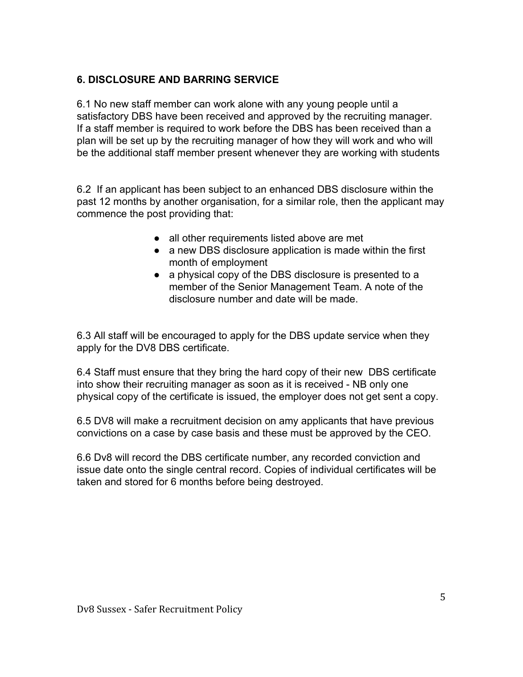# **6. DISCLOSURE AND BARRING SERVICE**

6.1 No new staff member can work alone with any young people until a satisfactory DBS have been received and approved by the recruiting manager. If a staff member is required to work before the DBS has been received than a plan will be set up by the recruiting manager of how they will work and who will be the additional staff member present whenever they are working with students

6.2 If an applicant has been subject to an enhanced DBS disclosure within the past 12 months by another organisation, for a similar role, then the applicant may commence the post providing that:

- all other requirements listed above are met
- a new DBS disclosure application is made within the first month of employment
- a physical copy of the DBS disclosure is presented to a member of the Senior Management Team. A note of the disclosure number and date will be made.

6.3 All staff will be encouraged to apply for the DBS update service when they apply for the DV8 DBS certificate.

6.4 Staff must ensure that they bring the hard copy of their new DBS certificate into show their recruiting manager as soon as it is received - NB only one physical copy of the certificate is issued, the employer does not get sent a copy.

6.5 DV8 will make a recruitment decision on amy applicants that have previous convictions on a case by case basis and these must be approved by the CEO.

6.6 Dv8 will record the DBS certificate number, any recorded conviction and issue date onto the single central record. Copies of individual certificates will be taken and stored for 6 months before being destroyed.